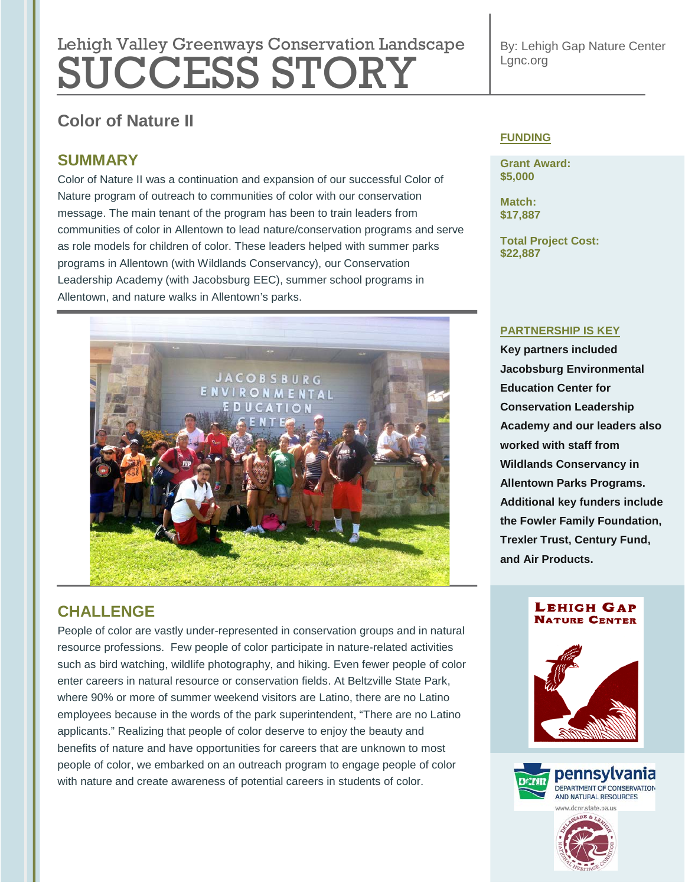# Lehigh Valley Greenways Conservation Landscape SUCCESS STORY

**Color of Nature II**

# **SUMMARY**

Color of Nature II was a continuation and expansion of our successful Color of Nature program of outreach to communities of color with our conservation message. The main tenant of the program has been to train leaders from communities of color in Allentown to lead nature/conservation programs and serve as role models for children of color. These leaders helped with summer parks programs in Allentown (with Wildlands Conservancy), our Conservation Leadership Academy (with Jacobsburg EEC), summer school programs in Allentown, and nature walks in Allentown's parks.



# **CHALLENGE**

People of color are vastly under-represented in conservation groups and in natural resource professions. Few people of color participate in nature-related activities such as bird watching, wildlife photography, and hiking. Even fewer people of color enter careers in natural resource or conservation fields. At Beltzville State Park, where 90% or more of summer weekend visitors are Latino, there are no Latino employees because in the words of the park superintendent, "There are no Latino applicants." Realizing that people of color deserve to enjoy the beauty and benefits of nature and have opportunities for careers that are unknown to most people of color, we embarked on an outreach program to engage people of color with nature and create awareness of potential careers in students of color.

By: Lehigh Gap Nature Center Lgnc.org

### **FUNDING**

**Grant Award: \$5,000**

**Match: \$17,887**

**Total Project Cost: \$22,887**

#### **PARTNERSHIP IS KEY**

**Key partners included Jacobsburg Environmental Education Center for Conservation Leadership Academy and our leaders also worked with staff from Wildlands Conservancy in Allentown Parks Programs. Additional key funders include the Fowler Family Foundation, Trexler Trust, Century Fund, and Air Products.**

#### **LEHIGH GAP NATURE CENTER**